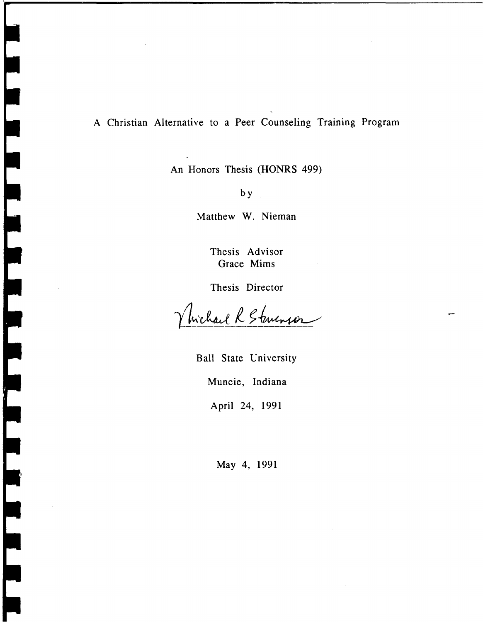## A Christian Alternative to a Peer Counseling Training Program

An Honors Thesis (HONRS 499)

by

Matthew W. Nieman

Thesis Advisor Grace Mims

Thesis Director

Wichard R Stevensor

Ball State University Muncie, Indiana April 24, 1991

May 4, 1991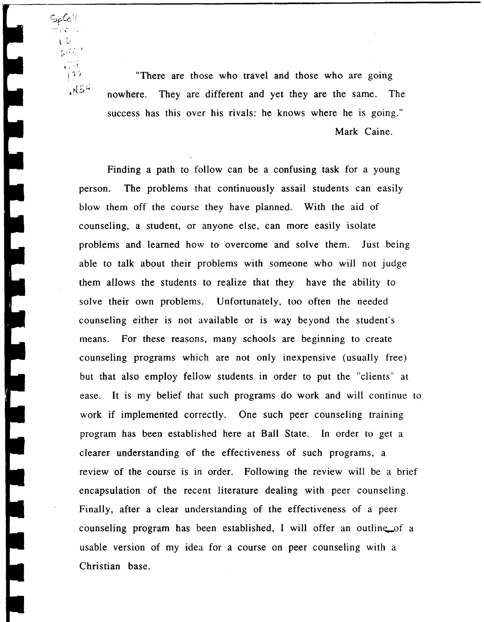"There are those who travel and those who are going ~5~ *I,* nowhere. They are different and yet they are the same. The success has this over his rivals: he knows where he is going." Mark Caine.

 $\gamma_{11}$  . . . . L *U* 

> 公孫方  $\frac{1}{16}$  $\frac{1}{1}$ 97

**THERMAN STREET** 

THE REFERE

 $S_{\rho}G$ 

Finding a path to follow can be a confusing task for a young person. The problems that continuously assail students can easily blow them off the course they have planned. With the aid of counseling, a student, or anyone else, can more easily isolate problems and learned how to overcome and solve them. Just being able to talk about their problems with someone who will not judge them allows the students to realize that they have the ability to solve their own problems. Unfortunately, too often the needed counseling either is not available or is way beyond the student's means. For these reasons, many schools are beginning to create counseling programs which are not only inexpensive (usually free) but that also employ fellow students in order to put the "clients" at ease. It is my belief that such programs do work and will continue to work if implemented correctly. One such peer counseling training program has been established here at Ball State. In order to get a clearer understanding of the effectiveness of such programs, a review of the course is in order. Following the review will be a brief encapsulation of the recent literature dealing with peer counseling. Finally, after a clear understanding of the effectiveness of a peer counseling program has been established, I will offer an outline of a usable version of my idea for a course on peer counseling with a Christian base.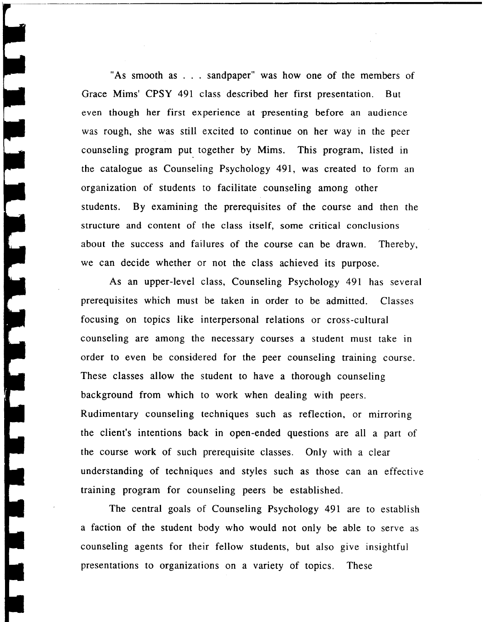"As smooth as . . . sandpaper" was how one of the members of Grace Mims' CPSY 491 class described her first presentation. But even though her first experience at 'presenting before an audience was rough, she was still excited to continue on her way in the peer counseling program put together by Mims. This program, listed in the catalogue as Counseling Psychology 491, was created to form an organization of students to facilitate counseling among other students. By examining the prerequisites of the course and then the structure and content of the class itself, some critical conclusions about the success and failures of the course can be drawn. Thereby, we can decide whether or not the class achieved its purpose.

As an upper-level class, Counseling Psychology 491 has several prerequisites which must be taken in order to be admitted. Classes focusing on topics like interpersonal relations or cross-cultural counseling are among the necessary courses a student must take in order to even be considered for the peer counseling training course. These classes allow the student to have a thorough counseling background from which to work when dealing with peers. Rudimentary counseling techniques such as reflection, or mirroring the client's intentions back in open-ended questions are all a part of the course work of such prerequisite classes. Only with a clear understanding of techniques and styles such as those can an effective training program for counseling peers be established.

The central goals of Counseling Psychology 491 are to establish a faction of the student body who would not only be able to serve as counseling agents for their fellow students, but also give insightful presentations to organizations on a variety of topics. These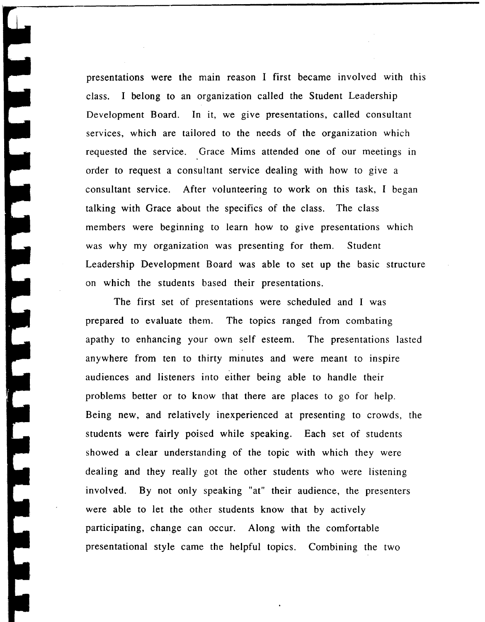presentations were the main reason I first became involved with this class. I belong to an organization called the Student Leadership Development Board. **In** it, we give presentations, called consultant services, which are tailored to the needs of the organization which requested the service. Grace Mims attended one of our meetings in order to request a consultant service dealing with how to give a consultant service. After volunteering to work on this task, I began talking with Grace about the specifics of the class. The class members were beginning to learn how to give presentations which was why my organization was presenting for them. Student Leadership Development Board was able to set up the basic structure on which the students based their presentations.

The first set of presentations were scheduled and I was prepared to evaluate them. The topics ranged from combating apathy to enhancing your own self esteem. The presentations lasted anywhere from ten to thirty minutes and were meant to inspire audiences and listeners into either being able to handle their problems better or to know that there are places to go for help. Being new, and relatively inexperienced at presenting to crowds, the students were fairly poised while speaking. Each set of students showed a clear understanding of the topic with which they were dealing and they really got the other students who were listening involved. By not only speaking "at" their audience, the presenters were able to let the other students know that by actively participating, change can occur. Along with the comfortable presentational style came the helpful topics. Combining the two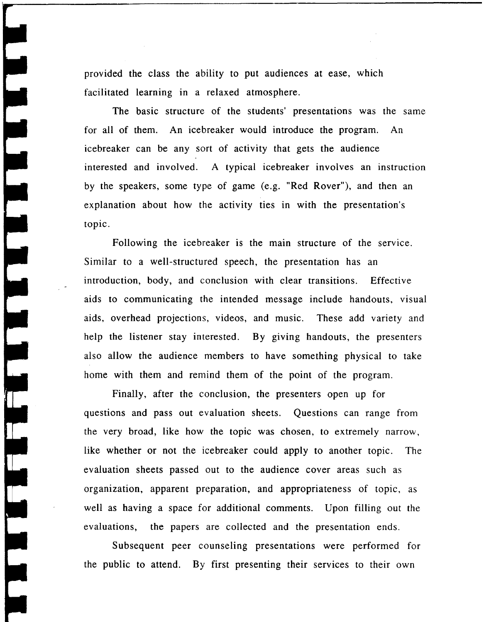provided the class the ability to put audiences at ease, which facilitated learning in a relaxed atmosphere.

The basic structure of the students' presentations was the same for all of them. An icebreaker would introduce the program. An icebreaker can be any sort of activity that gets the audience interested and involved. A typical icebreaker involves an instruction by the speakers, some type of game (e.g. "Red Rover"), and then an explanation about how the activity ties in with the presentation's topic.

Following the icebreaker is the main structure of the service. Similar to a well-structured speech, the presentation has an introduction, body, and conclusion with clear transitions. Effective aids to communicating the intended message include handouts, visual aids, overhead projections, videos, and music. These add variety and help the listener stay interested. By giving handouts, the presenters also allow the audience members to have something physical to take home with them and remind them of the point of the program.

Finally, after the conclusion, the presenters open up for questions and pass out evaluation sheets. Questions can range from the very broad, like how the topic was chosen, to extremely narrow, like whether or not the icebreaker could apply to another topic. The evaluation sheets passed out to the audience cover areas such as organization, apparent preparation, and appropriateness of topic, as well as having a space for additional comments. Upon filling out the evaluations, the papers are collected and the presentation ends.

Subsequent peer counseling presentations were performed for the public to attend. By first presenting their services to their own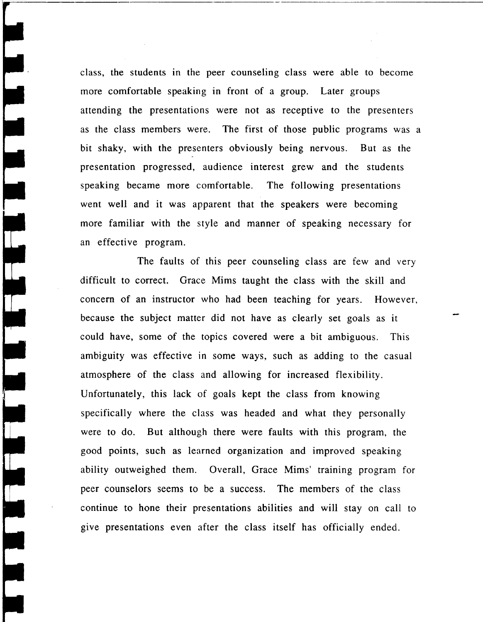class, the students in the peer counseling class were able to become more comfortable speaking in front of a group. Later groups attending the presentations were not as receptive to the presenters as the class members were. The first of those public programs was a bit shaky, with the presenters obviously being nervous. But as the presentation progressed, audience interest grew and the students speaking became more comfortable. The following presentations went well and it was apparent that the speakers were becoming more familiar with the style and manner of speaking necessary for an effective program.

 $\Box$ 

اس<br>د

IT.

The faults of this peer counseling class are few and very difficult to correct. Grace Mims taught the class with the skill and concern of an instructor who had been teaching for years. However, because the subject matter did not have as clearly set goals as it could have, some of the topics covered were a bit ambiguous. This ambiguity was effective in some ways, such as adding to the casual atmosphere of the class and allowing for increased flexibility. Unfortunately, this lack of goals kept the class from knowing specifically where the class was headed and what they personally were to do. But although there were faults with this program, the good points, such as learned organization and improved speaking ability outweighed them. Overall, Grace Mims' training program for peer counselors seems to be a success. The members of the class continue to hone their presentations abilities and will stay on call to give presentations even after the class itself has officially ended.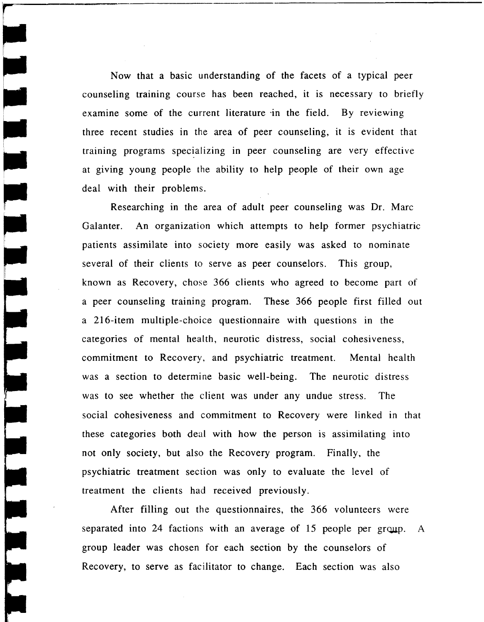Now that a basic understanding of the facets of a typical peer counseling training course has been reached, it is necessary to briefly examine some of the current literature in the field. By reviewing three recent studies in the area of peer counseling, it is evident that training programs specializing in peer counseling are very effective at giving young people the ability to help people of their own age deal with their problems.

Researching in the area of adult peer counseling was Dr. Marc Galanter. An organization which attempts to help former psychiatric patients assimilate into society more easily was asked to nominate several of their clients to serve as peer counselors. This group, known as Recovery, chose 366 clients who agreed to become part of a peer counseling training program. These 366 people first filled out a 216-item multiple-choice questionnaire with questions in the categories of mental health, neurotic distress, social cohesiveness, commitment to Recovery, and psychiatric treatment. Mental health was a section to determine basic well-being. The neurotic distress was to see whether the client was under any undue stress. The social cohesiveness and commitment to Recovery were linked in that these categories both deal with how the person is assimilating into not only society, but also the Recovery program. Finally, the psychiatric treatment section was only to evaluate the level of treatment the clients had received previously.

After filling out the questionnaires, the 366 volunteers were separated into 24 factions with an average of 15 people per group. A group leader was chosen for each section by the counselors of Recovery, to serve as facilitator to change. Each section was also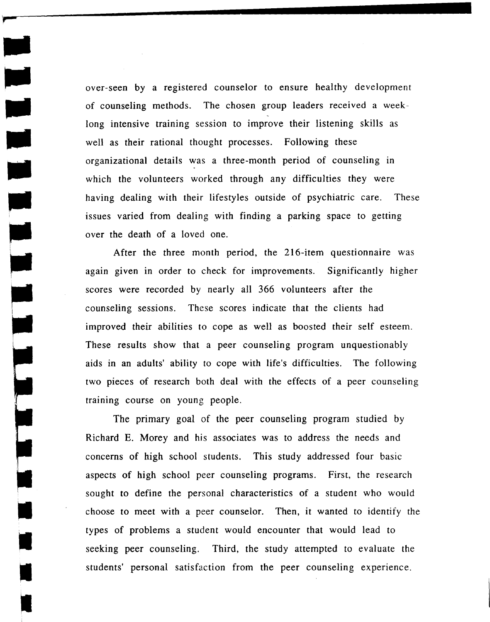over-seen by a registered counselor to ensure healthy development of counseling methods. The chosen group leaders received a weeklong intensive training session to improve their listening skills as well as their rational thought processes. Following these organizational details was a three-month period of counseling in which the volunteers worked through any difficulties they were having dealing with their lifestyles outside of psychiatric care. These issues varied from dealing with finding a parking space to getting over the death of a loved one.

After the three month period, the 216-item questionnaire was again given in order to check for improvements. Significantly higher scores were recorded by nearly all 366 volunteers after the counseling sessions. These scores indicate that the clients had improved their abilities to cope as well as boosted their self esteem. These results show that a peer counseling program unquestionably aids in an adults' ability to cope with life's difficulties. The following two pieces of research both deal with the effects of a peer counseling training course on young people.

The primary goal of the peer counseling program studied by Richard E. Morey and his associates was to address the needs and concerns of high school students. This study addressed four basic aspects of high school peer counseling programs. First, the research sought to define the personal characteristics of a student who would choose to meet with a peer counselor. Then, it wanted to identify the types of problems a student would encounter that would lead to seeking peer counseling. Third, the study attempted to evaluate the students' personal satisfaction from the peer counseling experience.

•<br>•

j

•<br>•

•

-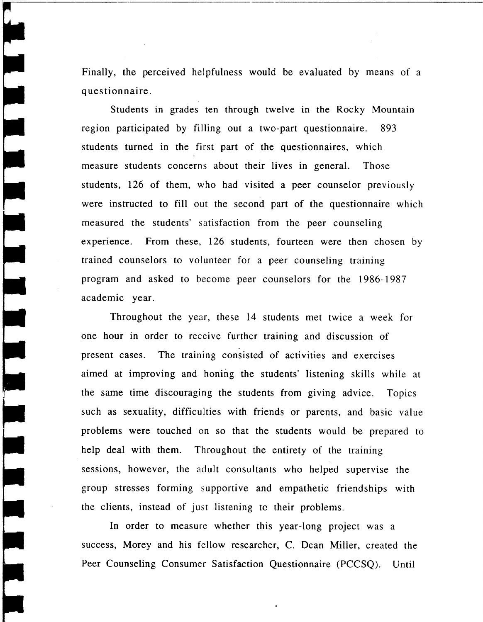Finally, the perceived helpfulness would be evaluated by means of a questionnaire.

س<br>آس

ب<br>ا

Students in grades ten through twelve in the Rocky Mountain region participated by filling out a two-part questionnaire. 893 students turned in the first part of the questionnaires, which measure students concerns about their lives in general. Those students, 126 of them, who had visited a peer counselor previously were instructed to fill out the second part of the questionnaire which measured the students' satisfaction from the peer counseling experience. From these, 126 students, fourteen were then chosen by trained counselors to volunteer for a peer counseling training program and asked to become peer counselors for the 1986-1987 academic year.

Throughout the year, these 14 students met twice a week for one hour in order to receive further training and discussion of present cases. The training consisted of activities and exercises aimed at improving and honing the students' listening skills while at the same time discouraging the students from giving advice. Topics such as sexuality, difficulties with friends or parents, and basic value problems were touched on so that the students would be prepared to help deal with them. Throughout the entirety of the training sessions, however, the adult consultants who helped supervise the group stresses forming supportive and empathetic friendships with the clients, instead of just listening to their problems.

In order to measure whether this year-long project was a success, Morey and his fellow researcher, C. Dean Miller, created the Peer Counseling Consumer Satisfaction Questionnaire (PCCSQ). Until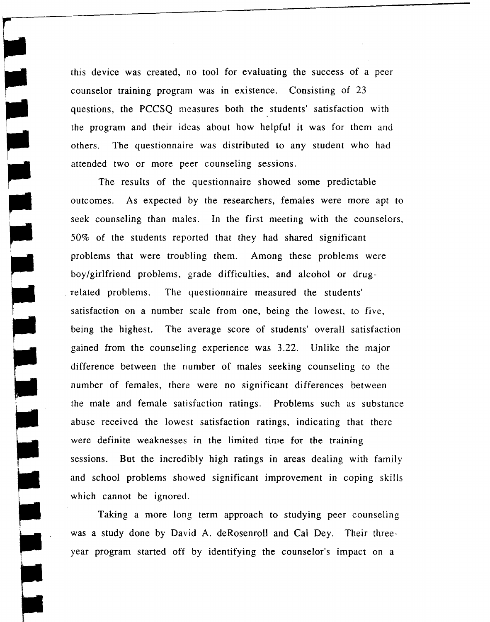this device was created, no tool for evaluating the success of a peer counselor training program was in existence. Consisting of 23 questions, the PCCSQ measures both the students' satisfaction with the program and their ideas about how helpful it was for them and others. The questionnaire was distributed to any student who had attended two or more peer counseling sessions.

The results of the questionnaire showed some predictable outcomes. As expected by the researchers, females were more apt to seek counseling than males. In the first meeting with the counselors, 50% of the students reported that they had shared significant problems that were troubling them. Among these problems were boy/girlfriend problems, grade difficulties, and alcohol or drug- . related problems. The questionnaire measured the students' satisfaction on a number scale from one, being the lowest, to five, being the highest. The average score of students' overall satisfaction gained from the counseling experience was 3.22. Unlike the major difference between the number of males seeking counseling to the number of females, there were no significant differences between the male and female satisfaction ratings. Problems such as substance abuse received the lowest satisfaction ratings, indicating that there were definite weaknesses in the limited time for the training sessions. But the incredibly high ratings in areas dealing with family and school problems showed significant improvement in coping skills which cannot be ignored.

Taking a more long term approach to studying peer counseling was a study done by David A. deRosenroll and Cal Dey. Their threeyear program started off by identifying the counselor's impact on a

~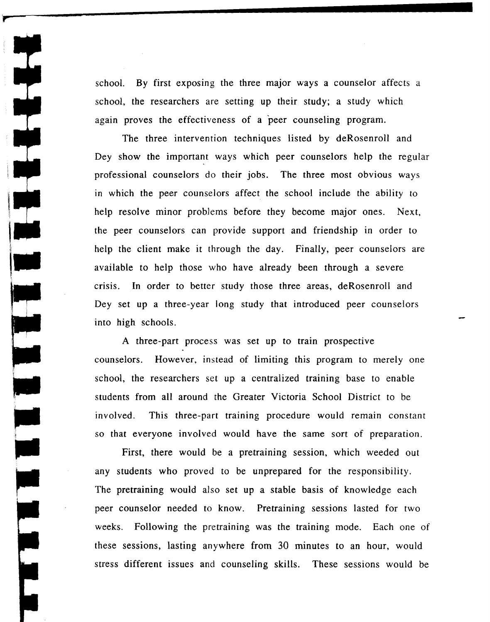school. By first exposing the three major ways a counselor affects a school, the researchers are setting up their study; a study which again proves the effectiveness of a peer counseling program.

The three intervention techniques listed by deRosenroll and Dey show the important ways which peer counselors help the regular professional counselors do their jobs. The three most obvious ways in which the peer counselors affect the school include the ability to help resolve minor problems before they become major ones. Next, the peer counselors can provide support and friendship in order to help the client make it through the day. Finally, peer counselors are available to help those who have already been through a severe crisis. **In** order to better study those three areas, deRosenroll and Dey set up a three-year long study that introduced peer counselors into high schools.

A three-part process was set up to train prospective counselors. However, instead of limiting this program to merely one school, the researchers set up a centralized training base to enable students from all around the Greater Victoria School District to be involved. This three-part training procedure would remain constant so that everyone involved would have the same sort of preparation.

First, there would be a pretraining session, which weeded out any students who proved to be unprepared for the responsibility. The pretraining would also set up a stable basis of knowledge each peer counselor needed to know. Pretraining sessions lasted for two weeks. Following the pretraining was the training mode. Each one of these sessions, lasting anywhere from 30 minutes to an hour, would stress different issues and counseling skills. These sessions would be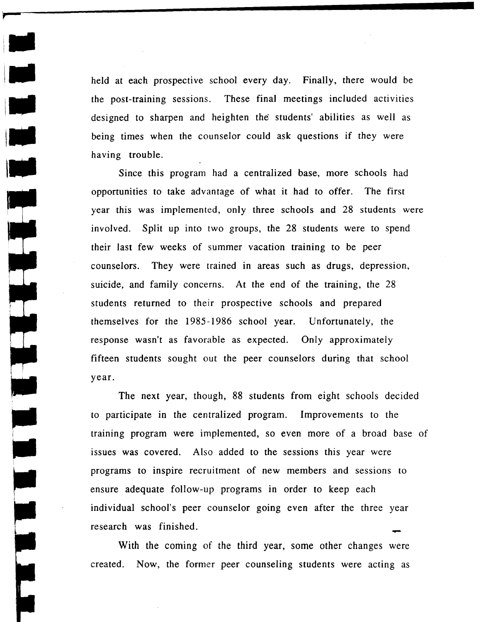held at each prospective school every day. Finally, there would be the post-training sessions. These final meetings included activities designed to sharpen and heighten the students' abilities as well as being times when the counselor could ask questions if they were having trouble.

 $\frac{1}{2}$ 

Since this program had a centralized base, more schools had opportunities to take advantage of what it had to offer. The first year this was implemented, only three schools and 28 students were involved. Split up into two groups, the 28 students were to spend their last few weeks of summer vacation training to be peer counselors. They were trained in areas such as drugs, depression, suicide, and family concerns. At the end of the training, the 28 students returned to their prospective schools and prepared themselves for the 1985 -1986 school year. Unfortunately, the response wasn't as favorable as expected. Only approximately fifteen students sought out the peer counselors during that school year.

The next year, though, 88 students from eight schools decided to participate in the centralized program. Improvements to the training program were implemented, so even more of a broad base of issues was covered. Also added to the sessions this year were programs to inspire recruitment of new members and sessions to ensure adequate follow-up programs in order to keep each individual school's peer counselor going even after the three year research was finished.<br>With the coming of the third year, some other changes were

created. Now, the former peer counseling students were acting as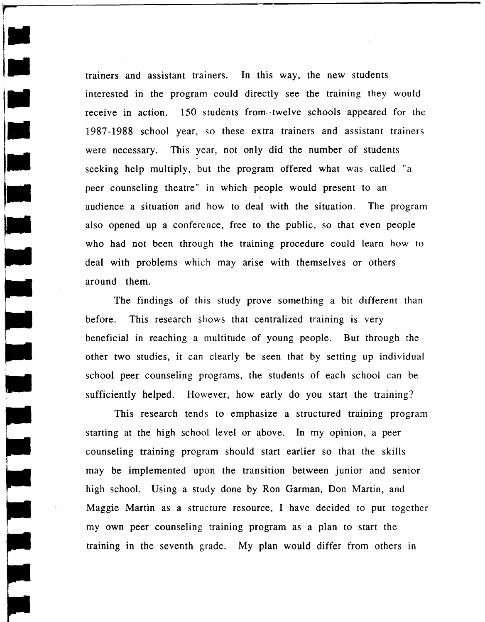trainers and assistant trainers. In this way, the new students interested in the program could directly see the training they would receive in action. 150 students from twelve schools appeared for the 1987 -1988 school year, so these extra trainers and assistant trainers were necessary. This year, not only did the number of students seeking help multiply, but the program offered what was called "a peer counseling theatre" in which people would present to an audience a situation and how to deal with the situation. The program also opened up a conference, free to the public, so that even people who had not been through the training procedure could learn how to deal with problems which may arise with themselves or others around them.

The findings of this study prove something a bit different than before. This research shows that centralized training is very beneficial in reaching a multitude of young people. But through the other two studies, it can clearly be seen that by setting up individual school peer counseling programs, the students of each school can be sufficiently helped. However, how early do you start the training?

This research tends to emphasize a structured training program starting at the high school level or above. In my opinion, a peer counseling training program should start earlier so that the skills may be implemented upon the transition between junior and senior high school. Using a study done by Ron Garman, Don Martin, and Maggie Martin as a structure resource, I have decided to put together my own peer counseling training program as a plan to start the training in the seventh grade. My plan would differ from others in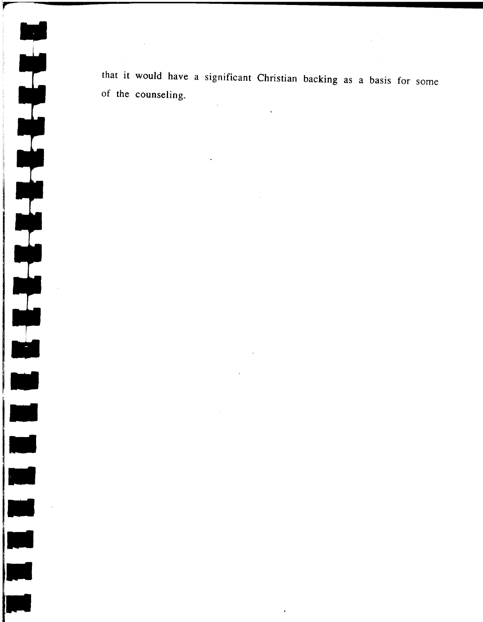Ę 

that it would have a significant Christian backing as a basis for some of the counseling.

 $\sim 10$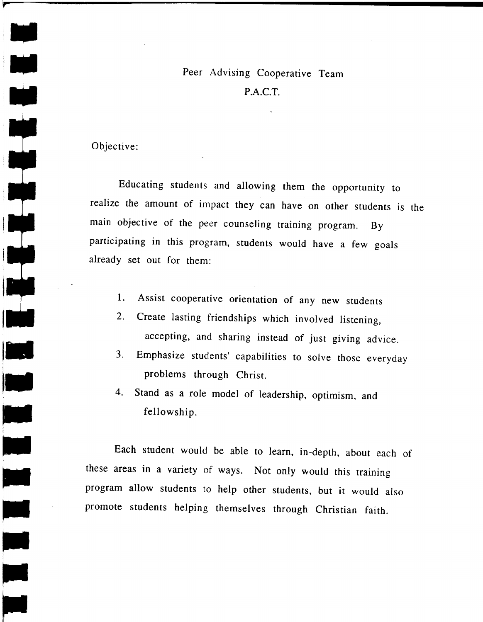## Peer Advising Cooperative Team P.A.C.T.

Objective:

.. ,.....

Educating students and allowing them the opportunity to realize the amount of impact they can have on other students is the main objective of the peer counseling training program. By participating in this program, students would have a few goals already set out for them:

- 1. Assist cooperative orientation of any new students
- 2. Create lasting friendships which involved listening, accepting, and sharing instead of just giving advice.
- 3. Emphasize students' capabilities to solve those everyday problems through Christ.
- 4. Stand as a role model of leadership, optimism, and fellowship.

Each student would be able to learn, in-depth, about each of these areas in a variety of ways. Not only would this training program allow students to help other students, but it would also promote students helping themselves through Christian faith.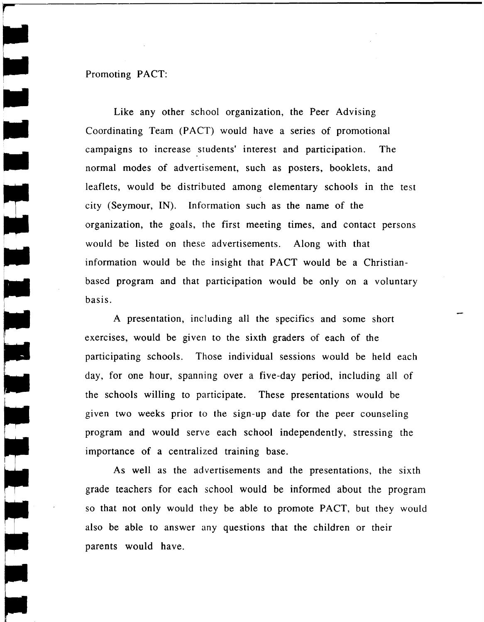## Promoting PACT:

**r** 

•

Like any other school organization, the Peer Advising Coordinating Team (PACT) would have a series of promotional campaigns to increase students' interest and participation. The normal modes of advertisement, such as posters, booklets, and leaflets, would be distributed among elementary schools in the test city (Seymour, IN). Information such as the name of the organization, the goals, the first meeting times, and contact persons would be listed on these advertisements. Along with that information would be the insight that PACT would be a Christianbased program and that participation would be only on a voluntary basis.

A presentation, including all the specifics and some short exercises, would be given to the sixth graders of each of the participating schools. Those individual sessions would be held each day, for one hour, spanning over a five-day period, including all of the schools willing to participate. These presentations would be given two weeks prior to the sign-up date for the peer counseling program and would serve each school independently, stressing the importance of a centralized training base.

As well as the advertisements and the presentations, the sixth grade teachers for each school would be informed about the program so that not only would they be able to promote PACT, but they would also be able to answer any questions that the children or their parents would have.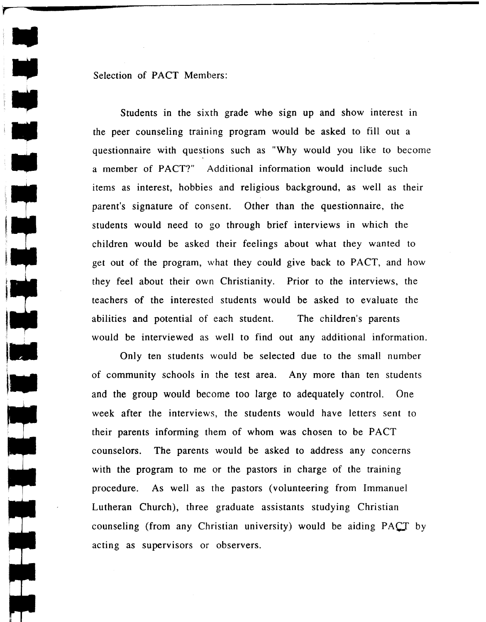Selection of PACT Members:

Students in the sixth grade whe sign up and show interest in the peer counseling training program would be asked to fill out a questionnaire with questions such as "Why would you like to become a member of PACT?" Additional information would include such items as interest, hobbies and religious background, as well as their parent's signature of consent. Other than the questionnaire, the students would need to go through brief interviews in which the children would be asked their feelings about what they wanted to get out of the program, what they could give back to PACT, and how they feel about their own Christianity. Prior to the interviews, the teachers of the interested students would be asked to evaluate the abilities and potential of each student. The children's parents would be interviewed as well to find out any additional information.

Only ten students would be selected due to the small number of community schools in the test area. Any more than ten students and the group would become too large to adequately control. One week after the interviews, the students would have letters sent to their parents informing them of whom was chosen to be PACT counselors. The parents would be asked to address any concerns with the program to me or the pastors in charge of the training procedure. As well as the pastors (volunteering from Immanuel Lutheran Church), three graduate assistants studying Christian counseling (from any Christian university) would be aiding  $PACT$  by acting as supervisors or observers.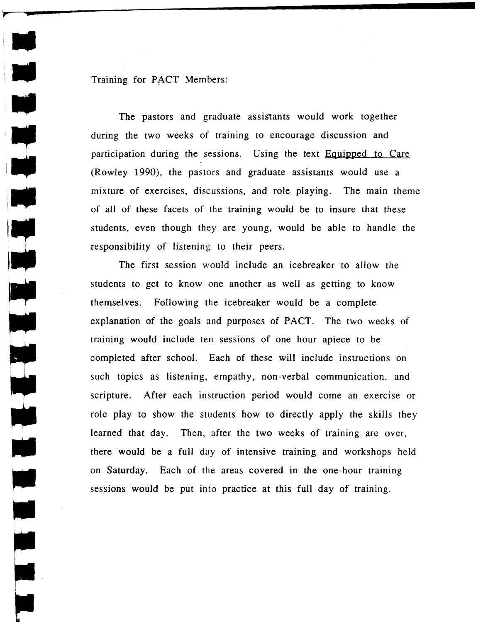Training for PACT Members:

**r <sup>&</sup>gt;**

I

l

...

The pastors and graduate assistants would work together during the two weeks of training to encourage discussion and participation during the sessions. Using the text Equipped to Care (Rowley 1990), the pastors and graduate assistants would use a mixture of exercises, discussions, and role playing. The main theme of all of these facets of the training would be to insure that these students, even though they are young, would be able to handle the responsibility of listening to their peers.

The first session would include an icebreaker to allow the students to get to know one another as well as getting to know themselves. Following the icebreaker would be a complete explanation of the goals and purposes of PACT. The two weeks of training would include ten sessions of one hour apiece to be completed after school. Each of these will include instructions on such topics as listening, empathy, non-verbal communication, and scripture. After each instruction period would come an exercise or role play to show the students how to directly apply the skills they learned that day. Then, after the two weeks of training are over, there would be a full day of intensive training and workshops held on Saturday. Each of the areas covered in the one-hour training sessions would be put into practice at this full day of training.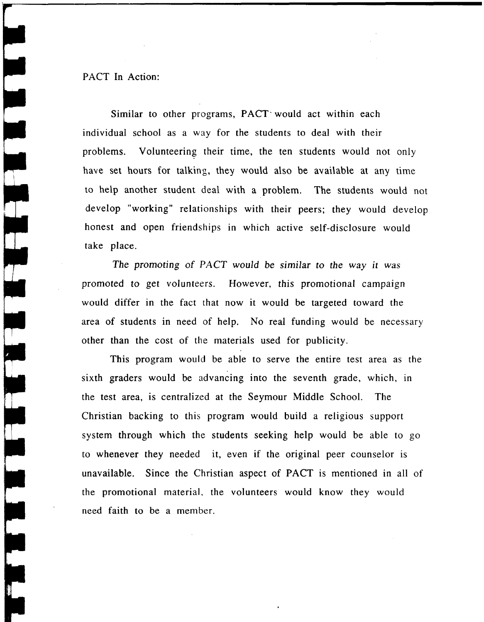PACT In Action:

 $\begin{bmatrix} 1 \\ 1 \end{bmatrix}$ 

**CHANGE** 

Similar to other programs, PACT would act within each individual school as a way for the students to deal with their problems. Volunteering their time, the ten students would not only have set hours for talking, they would also be available at any time to help another student deal with a problem. The students would not develop "working" relationships with their peers; they would develop honest and open friendships in which active self-disclosure would take place.

*The promoting* of *PACT would* be *similar* to *the* way it was promoted to get volunteers. However, this promotional campaign would differ in the fact that now it would be targeted toward the area of students in need of help. No real funding would be necessary other than the cost of the materials used for publicity.

This program would be able to serve the entire test area as the sixth graders would be advancing into the seventh grade, which, in the test area, is centralized at the Seymour Middle School. The Christian backing to this program would build a religious support system through which the students seeking help would be able to go to whenever they needed it, even if the original peer counselor is unavailable. Since the Christian aspect of PACT is mentioned in all of the promotional material. the volunteers would know they would need faith to be a member.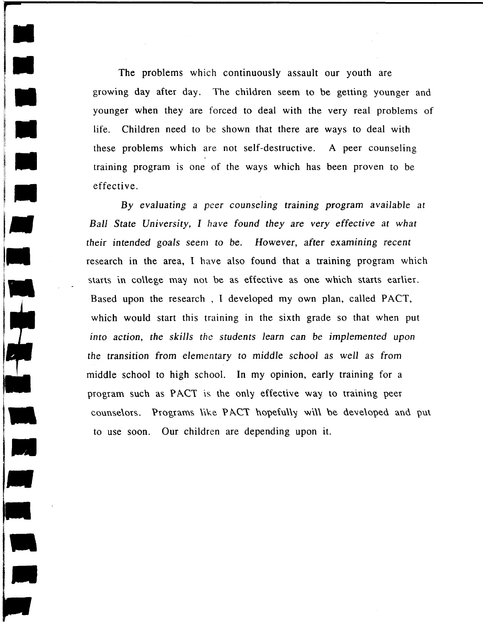The problems which continuously assault our youth are growmg day after day. The children seem to be getting younger and younger when they are forced to deal with the very real problems of life. Children need to be shown that there are ways to deal with these problems which are not self-destructive. A peer counseling training program is one of the ways which has been proven to be effective.

<u>, так и с</u>

By *evaluating* a peer *counseling training program available at Ball State University,* I *have found they are very effective at what their* intended *goals* seem to be. However, after examining recent research in the area, I have also found that a training program which starts in college may not be as effective as one which starts earlier. Based upon the research, I developed my own plan, called PACT, which would start this training in the sixth grade so that when put *into action, the skills the students learn can* be *implemented upon*  the transition from elementary to *middle school* as well as from middle school to high school. In my opinion, early training for a program such as PACT is the only effective way to training peer counselors. Programs like PACT hopefully will be developed and put to use soon. Our children are depending upon it.